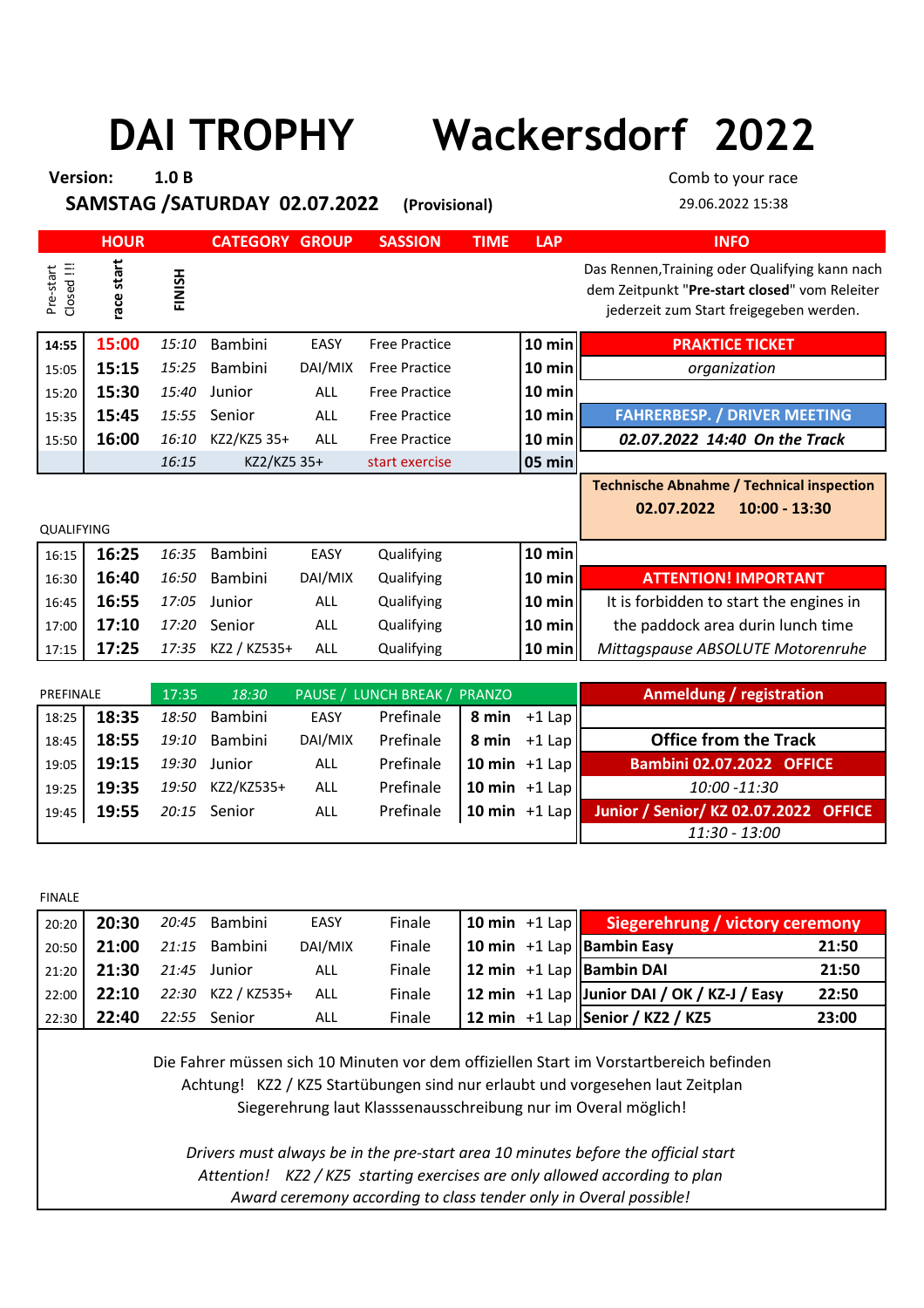## **DAI TROPHY Wackersdorf 2022**

| <b>Version:</b>         |             | 1.0 <sub>B</sub> |                              |            |                      |             |                    | Comb to your race                                                                                                                          |
|-------------------------|-------------|------------------|------------------------------|------------|----------------------|-------------|--------------------|--------------------------------------------------------------------------------------------------------------------------------------------|
|                         |             |                  | SAMSTAG /SATURDAY 02.07.2022 |            | (Provisional)        |             |                    | 29.06.2022 15:38                                                                                                                           |
|                         | <b>HOUR</b> |                  | <b>CATEGORY GROUP</b>        |            | <b>SASSION</b>       | <b>TIME</b> | <b>LAP</b>         | <b>INFO</b>                                                                                                                                |
| Closed !!!<br>Pre-start | race start  | FINISH           |                              |            |                      |             |                    | Das Rennen, Training oder Qualifying kann nach<br>dem Zeitpunkt "Pre-start closed" vom Releiter<br>jederzeit zum Start freigegeben werden. |
| 14:55                   | 15:00       | 15:10            | <b>Bambini</b>               | EASY       | <b>Free Practice</b> |             | $10$ min           | <b>PRAKTICE TICKET</b>                                                                                                                     |
| 15:05                   | 15:15       | 15:25            | Bambini                      | DAI/MIX    | <b>Free Practice</b> |             | 10 min $\parallel$ | organization                                                                                                                               |
| 15:20                   | 15:30       | 15:40            | Junior                       | <b>ALL</b> | <b>Free Practice</b> |             | $10$ min           |                                                                                                                                            |
| 15:35                   | 15:45       | 15:55            | Senior                       | <b>ALL</b> | <b>Free Practice</b> |             | 10 min $\parallel$ | <b>FAHRERBESP. / DRIVER MEETING</b>                                                                                                        |
| 15:50                   | 16:00       | 16:10            | KZ2/KZ5 35+                  | <b>ALL</b> | <b>Free Practice</b> |             | 10 min             | 02.07.2022 14:40 On the Track                                                                                                              |
|                         |             | 16:15            | KZ2/KZ5 35+                  |            | start exercise       |             | 05 min             |                                                                                                                                            |
| <b>QUALIFYING</b>       |             |                  |                              |            |                      |             |                    | <b>Technische Abnahme / Technical inspection</b><br>$10:00 - 13:30$<br>02.07.2022                                                          |
| 16:15                   | 16:25       | 16:35            | Bambini                      | EASY       | Qualifying           |             | 10 min             |                                                                                                                                            |
| 16:30                   | 16:40       | 16:50            | Bambini                      | DAI/MIX    | Qualifying           |             | 10 min $\parallel$ | <b>ATTENTION! IMPORTANT</b>                                                                                                                |
| 16:45                   | 16:55       | 17:05            | Junior                       | <b>ALL</b> | Qualifying           |             | $10 \text{ min}$   | It is forbidden to start the engines in                                                                                                    |
| 17:00                   | 17:10       | 17:20            | Senior                       | ALL        | Qualifying           |             | $10 \text{ min}$   | the paddock area durin lunch time                                                                                                          |
| 17:15                   | 17:25       | 17:35            | KZ2 / KZ535+                 | <b>ALL</b> | Qualifying           |             | 10 min $\parallel$ | Mittagspause ABSOLUTE Motorenruhe                                                                                                          |

| PREFINALE |       | 17:35 | 18:30         |         | PAUSE / LUNCH BREAK / PRANZO |                 | Anmeldung / registration              |
|-----------|-------|-------|---------------|---------|------------------------------|-----------------|---------------------------------------|
| 18:25     | 18:35 |       | 18:50 Bambini | EASY    | Prefinale                    | 8 min $+1$ Lap  |                                       |
| 18:45     | 18:55 |       | 19:10 Bambini | DAI/MIX | Prefinale                    | 8 min $+1$ Lap  | <b>Office from the Track</b>          |
| 19:05     | 19:15 | 19:30 | Junior        | ALL     | Prefinale                    | 10 min $+1$ Lap | <b>Bambini 02.07.2022 OFFICE</b>      |
| 19:25     | 19:35 | 19:50 | KZ2/KZ535+    | ALL     | Prefinale                    | 10 min $+1$ Lap | 10:00 -11:30                          |
| 19:45     | 19:55 |       | 20:15 Senior  | ALL     | Prefinale                    | 10 min $+1$ Lap | Junior / Senior/ KZ 02.07.2022 OFFICE |
|           |       |       |               |         |                              |                 | 11:30 - 13:00                         |

FINALE

| 20:20 20:30              | 20:45 Bambini                      | EASY    | Finale |  | 10 min +1 Lap Siegerehrung / victory ceremony |       |
|--------------------------|------------------------------------|---------|--------|--|-----------------------------------------------|-------|
|                          | 20:50 21:00 21:15 Bambini          | DAI/MIX | Finale |  | 10 min $+1$ Lap Bambin Easy                   | 21:50 |
| 21:20 21:30 21:45 Junior |                                    | ALL     | Finale |  | 12 min $+1$ Lap Bambin DAI                    | 21:50 |
|                          | 22:00   22:10  22:30  KZ2 / KZ535+ | ALL     | Finale |  | 12 min $+1$ Lap Junior DAI / OK / KZ-J / Easy | 22:50 |
| 22:30 22:40              | 22:55 Senior                       | ALL     | Finale |  | 12 min $+1$ Lap Senior / KZ2 / KZ5            | 23:00 |

Die Fahrer müssen sich 10 Minuten vor dem offiziellen Start im Vorstartbereich befinden Siegerehrung laut Klasssenausschreibung nur im Overal möglich! Achtung! KZ2 / KZ5 Startübungen sind nur erlaubt und vorgesehen laut Zeitplan

*Award ceremony according to class tender only in Overal possible! Drivers must always be in the pre-start area 10 minutes before the official start Attention! KZ2 / KZ5 starting exercises are only allowed according to plan*